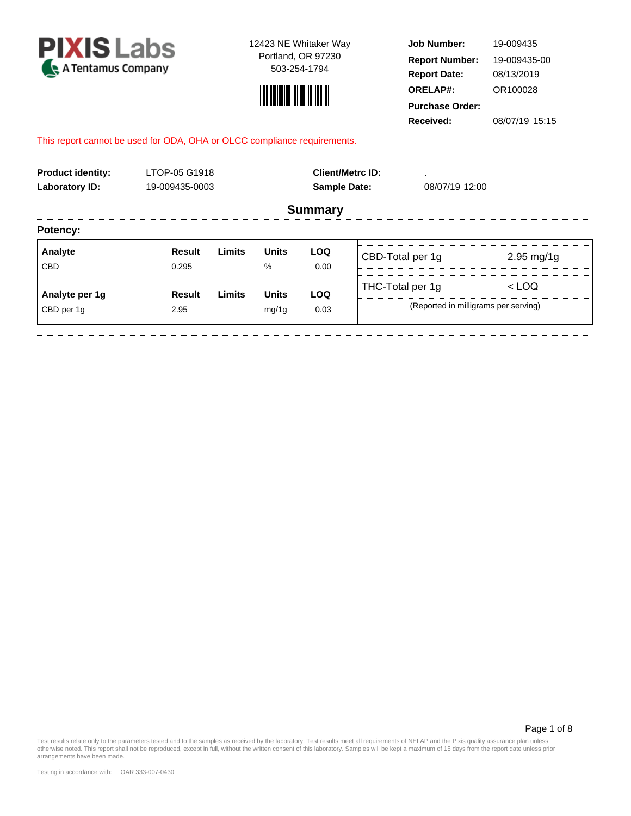



**Job Number: Report Date: ORELAP#:** 08/13/2019 OR100028 **Received:** 08/07/19 15:15 **Purchase Order:** 19-009435 **Report Number:** 19-009435-00

## This report cannot be used for ODA, OHA or OLCC compliance requirements.

| <b>Product identity:</b><br><b>Laboratory ID:</b> | LTOP-05 G1918<br>19-009435-0003 |        |              | <b>Sample Date:</b> | <b>Client/Metrc ID:</b>              | 08/07/19 12:00 |                         |  |
|---------------------------------------------------|---------------------------------|--------|--------------|---------------------|--------------------------------------|----------------|-------------------------|--|
|                                                   |                                 |        |              | <b>Summary</b>      |                                      |                |                         |  |
| Potency:                                          |                                 |        |              |                     |                                      |                |                         |  |
| Analyte                                           | Result                          | Limits | <b>Units</b> | <b>LOQ</b>          | CBD-Total per 1g                     |                | $2.95 \,\mathrm{mg}/1g$ |  |
| <b>CBD</b>                                        | 0.295                           |        | $\%$         | 0.00                |                                      |                |                         |  |
| Analyte per 1g                                    | <b>Result</b>                   | Limits | <b>Units</b> | <b>LOQ</b>          | THC-Total per 1g                     |                | $<$ LOQ                 |  |
| CBD per 1q                                        | 2.95                            |        | mg/1g        | 0.03                | (Reported in milligrams per serving) |                |                         |  |
|                                                   |                                 |        |              |                     |                                      |                |                         |  |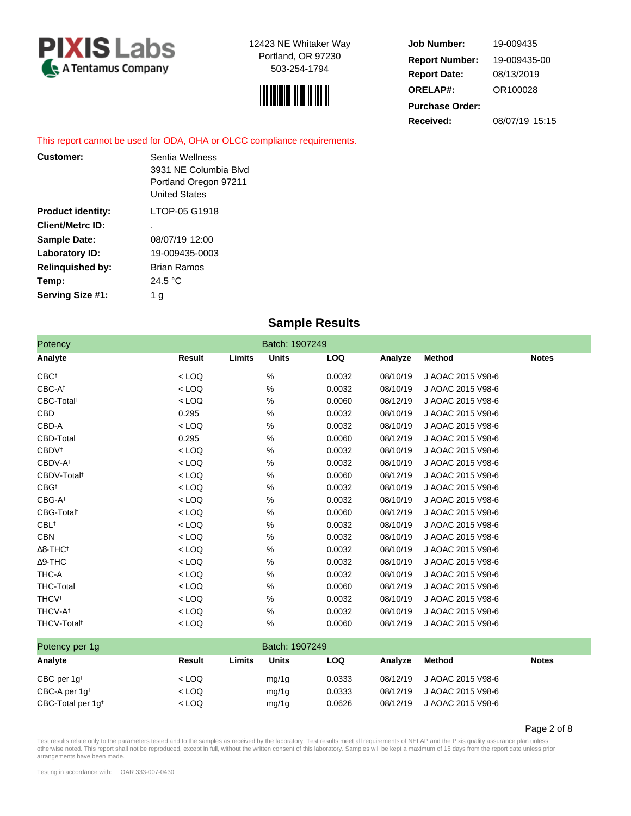



**Job Number: Report Date: ORELAP#:** 08/13/2019 OR100028 **Received:** 08/07/19 15:15 **Purchase Order:** 19-009435 **Report Number:** 19-009435-00

This report cannot be used for ODA, OHA or OLCC compliance requirements.

| <b>Customer:</b>         | Sentia Wellness<br>3931 NE Columbia Blvd<br>Portland Oregon 97211<br><b>United States</b> |
|--------------------------|-------------------------------------------------------------------------------------------|
| <b>Product identity:</b> | LTOP-05 G1918                                                                             |
| <b>Client/Metrc ID:</b>  | ٠                                                                                         |
| <b>Sample Date:</b>      | 08/07/19 12:00                                                                            |
| Laboratory ID:           | 19-009435-0003                                                                            |
| <b>Relinquished by:</b>  | Brian Ramos                                                                               |
| Temp:                    | 24.5 °C                                                                                   |
| Serving Size #1:         | 1 g                                                                                       |

# **Sample Results**

| Potency                     |         |        | Batch: 1907249 |            |          |                   |              |
|-----------------------------|---------|--------|----------------|------------|----------|-------------------|--------------|
| Analyte                     | Result  | Limits | <b>Units</b>   | <b>LOQ</b> | Analyze  | <b>Method</b>     | <b>Notes</b> |
| CBC <sup>+</sup>            | $<$ LOQ |        | %              | 0.0032     | 08/10/19 | J AOAC 2015 V98-6 |              |
| CBC-At                      | $<$ LOQ |        | %              | 0.0032     | 08/10/19 | J AOAC 2015 V98-6 |              |
| CBC-Total <sup>t</sup>      | $<$ LOQ |        | %              | 0.0060     | 08/12/19 | J AOAC 2015 V98-6 |              |
| CBD                         | 0.295   |        | %              | 0.0032     | 08/10/19 | J AOAC 2015 V98-6 |              |
| CBD-A                       | $<$ LOQ |        | %              | 0.0032     | 08/10/19 | J AOAC 2015 V98-6 |              |
| <b>CBD-Total</b>            | 0.295   |        | %              | 0.0060     | 08/12/19 | J AOAC 2015 V98-6 |              |
| <b>CBDV</b> <sup>t</sup>    | $<$ LOQ |        | %              | 0.0032     | 08/10/19 | J AOAC 2015 V98-6 |              |
| CBDV-A <sup>t</sup>         | $<$ LOQ |        | %              | 0.0032     | 08/10/19 | J AOAC 2015 V98-6 |              |
| CBDV-Total <sup>t</sup>     | $<$ LOQ |        | %              | 0.0060     | 08/12/19 | J AOAC 2015 V98-6 |              |
| $CBG^{\dagger}$             | $<$ LOQ |        | %              | 0.0032     | 08/10/19 | J AOAC 2015 V98-6 |              |
| CBG-A <sup>t</sup>          | $<$ LOQ |        | %              | 0.0032     | 08/10/19 | J AOAC 2015 V98-6 |              |
| CBG-Total <sup>t</sup>      | $<$ LOQ |        | %              | 0.0060     | 08/12/19 | J AOAC 2015 V98-6 |              |
| $CBL^+$                     | $<$ LOQ |        | %              | 0.0032     | 08/10/19 | J AOAC 2015 V98-6 |              |
| <b>CBN</b>                  | $<$ LOQ |        | %              | 0.0032     | 08/10/19 | J AOAC 2015 V98-6 |              |
| $\Delta$ 8-THC <sup>+</sup> | $<$ LOQ |        | %              | 0.0032     | 08/10/19 | J AOAC 2015 V98-6 |              |
| $\Delta$ 9-THC              | $<$ LOQ |        | %              | 0.0032     | 08/10/19 | J AOAC 2015 V98-6 |              |
| THC-A                       | $<$ LOQ |        | %              | 0.0032     | 08/10/19 | J AOAC 2015 V98-6 |              |
| <b>THC-Total</b>            | $<$ LOQ |        | %              | 0.0060     | 08/12/19 | J AOAC 2015 V98-6 |              |
| <b>THCV<sup>t</sup></b>     | $<$ LOQ |        | %              | 0.0032     | 08/10/19 | J AOAC 2015 V98-6 |              |
| THCV-A <sup>t</sup>         | $<$ LOQ |        | %              | 0.0032     | 08/10/19 | J AOAC 2015 V98-6 |              |
| THCV-Total <sup>t</sup>     | $<$ LOQ |        | %              | 0.0060     | 08/12/19 | J AOAC 2015 V98-6 |              |

| Potency per 1g               |         |        | Batch: 1907249 |        |          |                   |              |
|------------------------------|---------|--------|----------------|--------|----------|-------------------|--------------|
| Analyte                      | Result  | ∟imits | <b>Units</b>   | LOQ    | Analyze  | Method            | <b>Notes</b> |
| CBC per $1q^{\dagger}$       | $<$ LOQ |        | mg/1g          | 0.0333 | 08/12/19 | J AOAC 2015 V98-6 |              |
| CBC-A per $1q^{\dagger}$     | $<$ LOQ |        | mg/1g          | 0.0333 | 08/12/19 | J AOAC 2015 V98-6 |              |
| CBC-Total per $1q^{\dagger}$ | $<$ LOQ |        | mg/1g          | 0.0626 | 08/12/19 | J AOAC 2015 V98-6 |              |

Page 2 of 8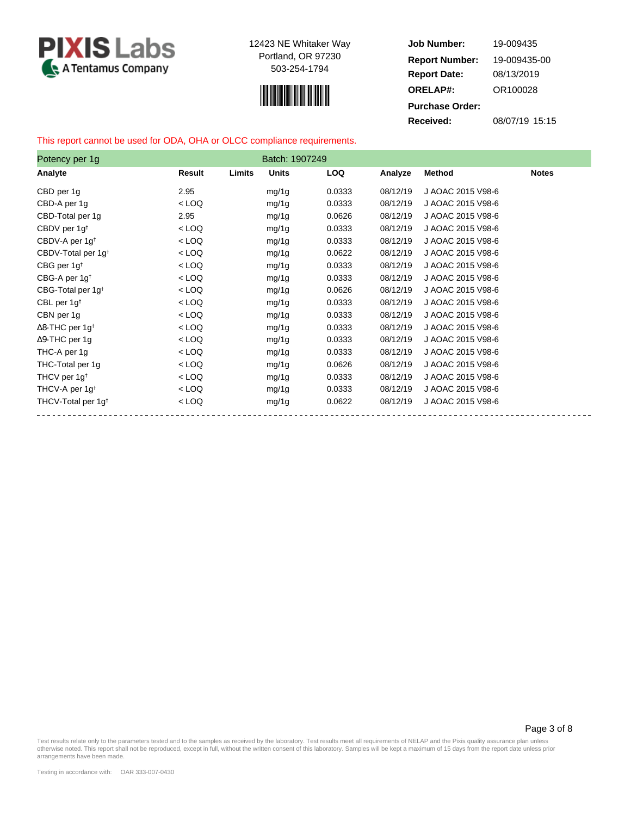



**Job Number: Report Date: ORELAP#:** 08/13/2019 OR100028 **Received:** 08/07/19 15:15 **Purchase Order:** 19-009435 **Report Number:** 19-009435-00

## This report cannot be used for ODA, OHA or OLCC compliance requirements.

| Potency per 1g                     |         |        | Batch: 1907249 |            |          |                   |              |
|------------------------------------|---------|--------|----------------|------------|----------|-------------------|--------------|
| Analyte                            | Result  | Limits | <b>Units</b>   | <b>LOQ</b> | Analyze  | <b>Method</b>     | <b>Notes</b> |
| CBD per 1g                         | 2.95    |        | mg/1g          | 0.0333     | 08/12/19 | J AOAC 2015 V98-6 |              |
| CBD-A per 1g                       | $<$ LOQ |        | mg/1g          | 0.0333     | 08/12/19 | J AOAC 2015 V98-6 |              |
| CBD-Total per 1g                   | 2.95    |        | mg/1g          | 0.0626     | 08/12/19 | J AOAC 2015 V98-6 |              |
| CBDV per 1g <sup>t</sup>           | $<$ LOQ |        | mg/1g          | 0.0333     | 08/12/19 | J AOAC 2015 V98-6 |              |
| CBDV-A per 1g <sup>t</sup>         | $<$ LOQ |        | mg/1g          | 0.0333     | 08/12/19 | J AOAC 2015 V98-6 |              |
| CBDV-Total per 1g <sup>t</sup>     | $<$ LOQ |        | mg/1g          | 0.0622     | 08/12/19 | J AOAC 2015 V98-6 |              |
| CBG per 1g <sup>t</sup>            | $<$ LOQ |        | mg/1g          | 0.0333     | 08/12/19 | J AOAC 2015 V98-6 |              |
| CBG-A per $1g†$                    | $<$ LOQ |        | mg/1g          | 0.0333     | 08/12/19 | J AOAC 2015 V98-6 |              |
| CBG-Total per 1g <sup>t</sup>      | $<$ LOQ |        | mg/1g          | 0.0626     | 08/12/19 | J AOAC 2015 V98-6 |              |
| CBL per $1g^{\dagger}$             | $<$ LOQ |        | mg/1g          | 0.0333     | 08/12/19 | J AOAC 2015 V98-6 |              |
| CBN per 1g                         | $<$ LOQ |        | mg/1g          | 0.0333     | 08/12/19 | J AOAC 2015 V98-6 |              |
| $\Delta$ 8-THC per 1g <sup>+</sup> | $<$ LOQ |        | mg/1g          | 0.0333     | 08/12/19 | J AOAC 2015 V98-6 |              |
| $\Delta$ 9-THC per 1g              | $<$ LOQ |        | mg/1g          | 0.0333     | 08/12/19 | J AOAC 2015 V98-6 |              |
| THC-A per 1g                       | $<$ LOQ |        | mg/1g          | 0.0333     | 08/12/19 | J AOAC 2015 V98-6 |              |
| THC-Total per 1g                   | $<$ LOQ |        | mg/1g          | 0.0626     | 08/12/19 | J AOAC 2015 V98-6 |              |
| THCV per 1g <sup>t</sup>           | $<$ LOQ |        | mg/1g          | 0.0333     | 08/12/19 | J AOAC 2015 V98-6 |              |
| THCV-A per 1g <sup>t</sup>         | $<$ LOQ |        | mg/1g          | 0.0333     | 08/12/19 | J AOAC 2015 V98-6 |              |
| THCV-Total per 1g <sup>t</sup>     | $<$ LOQ |        | mg/1g          | 0.0622     | 08/12/19 | J AOAC 2015 V98-6 |              |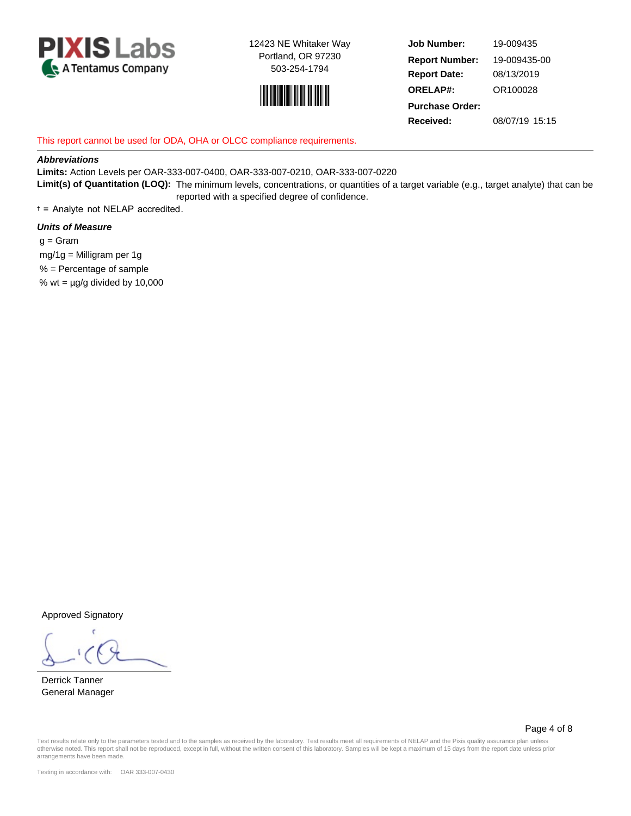



**Job Number: Report Date: ORELAP#:** 08/13/2019 OR100028 **Received:** 08/07/19 15:15 **Purchase Order:** 19-009435 **Report Number:** 19-009435-00

## This report cannot be used for ODA, OHA or OLCC compliance requirements.

### **Abbreviations**

**Limits:** Action Levels per OAR-333-007-0400, OAR-333-007-0210, OAR-333-007-0220 **Limit(s) of Quantitation (LOQ):** The minimum levels, concentrations, or quantities of a target variable (e.g., target analyte) that can be reported with a specified degree of confidence.

† = Analyte not NELAP accredited.

## **Units of Measure**

 $g =$ Gram mg/1g = Milligram per 1g % = Percentage of sample % wt =  $\mu$ g/g divided by 10,000

Approved Signatory

Derrick Tanner General Manager

Page 4 of 8

Test results relate only to the parameters tested and to the samples as received by the laboratory. Test results meet all requirements of NELAP and the Pixis quality assurance plan unless otherwise noted. This report shall not be reproduced, except in full, without the written consent of this laboratory. Samples will be kept a maximum of 15 days from the report date unless prior arrangements have been made.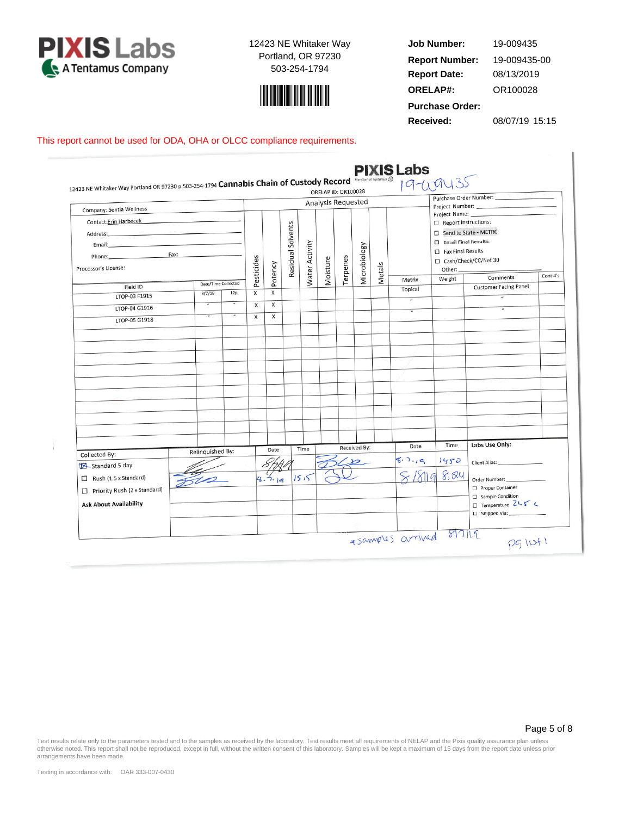



**Job Number: Report Date: ORELAP#:** 08/13/2019 OR100028 **Received:** 08/07/19 15:15 **Purchase Order:** 19-009435 **Report Number:** 19-009435-00

ı

## This report cannot be used for ODA, OHA or OLCC compliance requirements.

|                                                                                                                        |                     |                |              |              |                   |                | <b>Analysis Requested</b> |          |                     |        |                |                                                                                                                    | Purchase Order Number:                                                        |         |
|------------------------------------------------------------------------------------------------------------------------|---------------------|----------------|--------------|--------------|-------------------|----------------|---------------------------|----------|---------------------|--------|----------------|--------------------------------------------------------------------------------------------------------------------|-------------------------------------------------------------------------------|---------|
| Company: Sentia Wellness<br>Contact: Erin Harbecek<br>Phone: Fax:<br>Processor's License:                              |                     |                | Pesticides   | Potency      | Residual Solvents | Water Activity | Moisture                  | Terpenes | Microbiology        | Metals |                | $\Box$ Report Instructions:<br>Send to State - METRC<br>Email Final Results:<br>$\Box$ Fax Final Results<br>Other: | □ Cash/Check/CC/Net 30                                                        | Cont#'s |
| Field ID                                                                                                               | Date/Time Collected |                |              |              |                   |                |                           |          |                     |        | Matrix         | Weight                                                                                                             | Comments                                                                      |         |
| LTOP-03 F1915                                                                                                          | 8/7/19              | 12p            | X            | X            |                   |                |                           |          |                     |        | Topical        |                                                                                                                    | <b>Customer Facing Panel</b><br>$\overline{u}$                                |         |
| LTOP-04 G1916                                                                                                          | $\overline{H}$      | $\overline{H}$ | X            | $\times$     |                   |                |                           |          |                     |        |                |                                                                                                                    | $\overline{u}$                                                                |         |
| LTOP-05 G1918                                                                                                          |                     |                | $\mathsf{x}$ | $\mathsf{x}$ |                   |                |                           |          |                     |        | $\overline{u}$ |                                                                                                                    |                                                                               |         |
|                                                                                                                        |                     |                |              |              |                   |                |                           |          | <b>Received By:</b> |        | Date           | Time                                                                                                               | Labs Use Only:                                                                |         |
| Collected By:                                                                                                          | Relinquished By:    |                |              | Date         |                   | Time           |                           |          |                     |        | 8.7.19         | 1450                                                                                                               |                                                                               |         |
| Standard 5 day<br>$\Box$ Rush (1.5 x Standard)<br>$\Box$ Priority Rush (2 x Standard)<br><b>Ask About Availability</b> |                     |                |              | 4.7.16       |                   | 1515           |                           |          |                     |        |                | 8.84                                                                                                               | Order Number:<br>Proper Container<br>Sample Condition<br>□ Temperature 21.5 ℃ |         |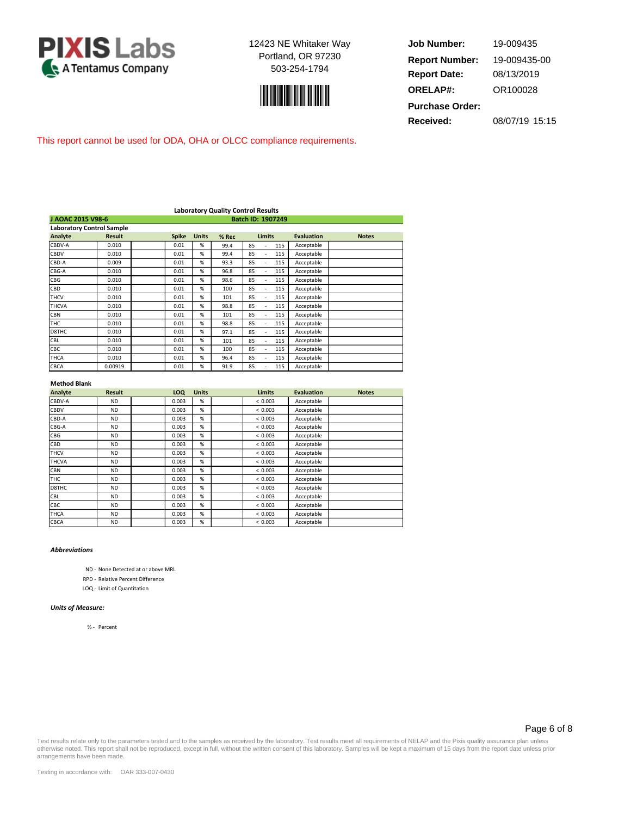



**Job Number: Report Date: ORELAP#:** 08/13/2019 OR100028 **Received:** 08/07/19 15:15 **Purchase Order:** 19-009435 **Report Number:** 19-009435-00

This report cannot be used for ODA, OHA or OLCC compliance requirements.

|                                  | <b>Laboratory Quality Control Results</b> |  |              |              |       |               |     |                   |              |
|----------------------------------|-------------------------------------------|--|--------------|--------------|-------|---------------|-----|-------------------|--------------|
| J AOAC 2015 V98-6                |                                           |  |              |              |       |               |     |                   |              |
| <b>Laboratory Control Sample</b> |                                           |  |              |              |       |               |     |                   |              |
| Analyte                          | <b>Result</b>                             |  | <b>Spike</b> | <b>Units</b> | % Rec | <b>Limits</b> |     | <b>Evaluation</b> | <b>Notes</b> |
| CBDV-A                           | 0.010                                     |  | 0.01         | %            | 99.4  | 85            | 115 | Acceptable        |              |
| CBDV                             | 0.010                                     |  | 0.01         | %            | 99.4  | 85<br>٠       | 115 | Acceptable        |              |
| CBD-A                            | 0.009                                     |  | 0.01         | %            | 93.3  | 85            | 115 | Acceptable        |              |
| CBG-A                            | 0.010                                     |  | 0.01         | %            | 96.8  | 85<br>٠       | 115 | Acceptable        |              |
| <b>CBG</b>                       | 0.010                                     |  | 0.01         | %            | 98.6  | 85            | 115 | Acceptable        |              |
| CBD                              | 0.010                                     |  | 0.01         | %            | 100   | 85            | 115 | Acceptable        |              |
| <b>THCV</b>                      | 0.010                                     |  | 0.01         | %            | 101   | 85            | 115 | Acceptable        |              |
| <b>THCVA</b>                     | 0.010                                     |  | 0.01         | %            | 98.8  | 85            | 115 | Acceptable        |              |
| <b>CBN</b>                       | 0.010                                     |  | 0.01         | %            | 101   | 85            | 115 | Acceptable        |              |
| THC                              | 0.010                                     |  | 0.01         | %            | 98.8  | 85            | 115 | Acceptable        |              |
| D8THC                            | 0.010                                     |  | 0.01         | %            | 97.1  | 85            | 115 | Acceptable        |              |
| CBL                              | 0.010                                     |  | 0.01         | %            | 101   | 85            | 115 | Acceptable        |              |
| CBC                              | 0.010                                     |  | 0.01         | %            | 100   | 85            | 115 | Acceptable        |              |
| <b>THCA</b>                      | 0.010                                     |  | 0.01         | %            | 96.4  | 85<br>٠       | 115 | Acceptable        |              |
| CBCA                             | 0.00919                                   |  | 0.01         | %            | 91.9  | 85            | 115 | Acceptable        |              |

#### **Method Blank**

| Analyte      | <b>Result</b> | LOQ   | <b>Units</b> | <b>Limits</b> | <b>Evaluation</b> | <b>Notes</b> |
|--------------|---------------|-------|--------------|---------------|-------------------|--------------|
| CBDV-A       | <b>ND</b>     | 0.003 | %            | < 0.003       | Acceptable        |              |
| <b>CBDV</b>  | <b>ND</b>     | 0.003 | %            | < 0.003       | Acceptable        |              |
| CBD-A        | <b>ND</b>     | 0.003 | %            | < 0.003       | Acceptable        |              |
| CBG-A        | <b>ND</b>     | 0.003 | %            | < 0.003       | Acceptable        |              |
| CBG          | <b>ND</b>     | 0.003 | %            | < 0.003       | Acceptable        |              |
| CBD          | <b>ND</b>     | 0.003 | %            | < 0.003       | Acceptable        |              |
| <b>THCV</b>  | <b>ND</b>     | 0.003 | %            | < 0.003       | Acceptable        |              |
| <b>THCVA</b> | <b>ND</b>     | 0.003 | %            | < 0.003       | Acceptable        |              |
| <b>CBN</b>   | <b>ND</b>     | 0.003 | %            | < 0.003       | Acceptable        |              |
| <b>THC</b>   | <b>ND</b>     | 0.003 | %            | < 0.003       | Acceptable        |              |
| D8THC        | <b>ND</b>     | 0.003 | %            | < 0.003       | Acceptable        |              |
| <b>CBL</b>   | <b>ND</b>     | 0.003 | %            | < 0.003       | Acceptable        |              |
| <b>CBC</b>   | <b>ND</b>     | 0.003 | %            | < 0.003       | Acceptable        |              |
| <b>THCA</b>  | <b>ND</b>     | 0.003 | %            | < 0.003       | Acceptable        |              |
| <b>CBCA</b>  | <b>ND</b>     | 0.003 | %            | < 0.003       | Acceptable        |              |

### *Abbreviations*

ND - None Detected at or above MRL

RPD - Relative Percent Difference

LOQ - Limit of Quantitation

#### *Units of Measure:*

% - Percent

### Page 6 of 8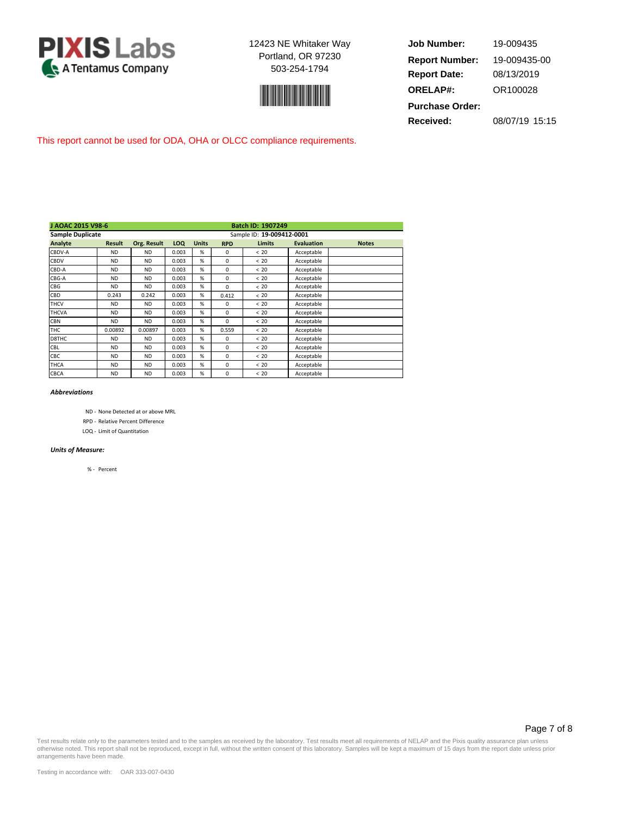



**Job Number: Report Date: ORELAP#:** 08/13/2019 OR100028 **Received:** 08/07/19 15:15 **Purchase Order:** 19-009435 **Report Number:** 19-009435-00

This report cannot be used for ODA, OHA or OLCC compliance requirements.

| J AOAC 2015 V98-6       |               |             |       |                           |            | <b>Batch ID: 1907249</b> |                   |              |  |  |  |
|-------------------------|---------------|-------------|-------|---------------------------|------------|--------------------------|-------------------|--------------|--|--|--|
| <b>Sample Duplicate</b> |               |             |       | Sample ID: 19-009412-0001 |            |                          |                   |              |  |  |  |
| Analyte                 | <b>Result</b> | Org. Result | LOQ   | <b>Units</b>              | <b>RPD</b> | <b>Limits</b>            | <b>Evaluation</b> | <b>Notes</b> |  |  |  |
| CBDV-A                  | <b>ND</b>     | <b>ND</b>   | 0.003 | %                         | $\Omega$   | < 20                     | Acceptable        |              |  |  |  |
| CBDV                    | <b>ND</b>     | <b>ND</b>   | 0.003 | %                         | $\Omega$   | <20                      | Acceptable        |              |  |  |  |
| CBD-A                   | <b>ND</b>     | <b>ND</b>   | 0.003 | %                         | $\Omega$   | < 20                     | Acceptable        |              |  |  |  |
| CBG-A                   | <b>ND</b>     | <b>ND</b>   | 0.003 | %                         | 0          | < 20                     | Acceptable        |              |  |  |  |
| CBG                     | <b>ND</b>     | <b>ND</b>   | 0.003 | %                         | 0          | < 20                     | Acceptable        |              |  |  |  |
| CBD                     | 0.243         | 0.242       | 0.003 | %                         | 0.412      | < 20                     | Acceptable        |              |  |  |  |
| <b>THCV</b>             | <b>ND</b>     | <b>ND</b>   | 0.003 | %                         | 0          | < 20                     | Acceptable        |              |  |  |  |
| <b>THCVA</b>            | <b>ND</b>     | <b>ND</b>   | 0.003 | %                         | $\Omega$   | < 20                     | Acceptable        |              |  |  |  |
| <b>CBN</b>              | <b>ND</b>     | <b>ND</b>   | 0.003 | %                         | $\Omega$   | < 20                     | Acceptable        |              |  |  |  |
| <b>THC</b>              | 0.00892       | 0.00897     | 0.003 | %                         | 0.559      | < 20                     | Acceptable        |              |  |  |  |
| D8THC                   | <b>ND</b>     | <b>ND</b>   | 0.003 | %                         | $\Omega$   | < 20                     | Acceptable        |              |  |  |  |
| CBL                     | <b>ND</b>     | <b>ND</b>   | 0.003 | %                         | $\Omega$   | <20                      | Acceptable        |              |  |  |  |
| CBC                     | <b>ND</b>     | <b>ND</b>   | 0.003 | %                         | 0          | < 20                     | Acceptable        |              |  |  |  |
| THCA                    | <b>ND</b>     | <b>ND</b>   | 0.003 | %                         | 0          | < 20                     | Acceptable        |              |  |  |  |
| CBCA                    | <b>ND</b>     | ND.         | 0.003 | %                         | 0          | < 20                     | Acceptable        |              |  |  |  |

#### *Abbreviations*

ND - None Detected at or above MRL

RPD - Relative Percent Difference

LOQ - Limit of Quantitation

#### *Units of Measure:*

% - Percent

### Page 7 of 8